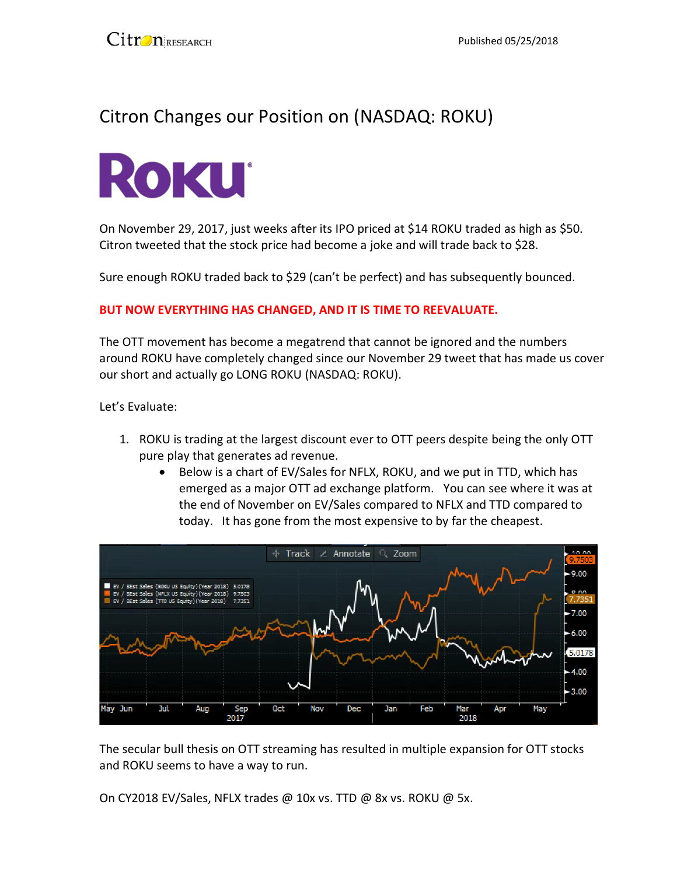## Citron Changes our Position on (NASDAQ: ROKU)



On November 29, 2017, just weeks after its IPO priced at \$14 ROKU traded as high as \$50. Citron tweeted that the stock price had become a joke and will trade back to \$28.

Sure enough ROKU traded back to \$29 (can't be perfect) and has subsequently bounced.

## **BUT NOW EVERYTHING HAS CHANGED, AND IT IS TIME TO REEVALUATE.**

The OTT movement has become a megatrend that cannot be ignored and the numbers around ROKU have completely changed since our November 29 tweet that has made us cover our short and actually go LONG ROKU (NASDAQ: ROKU).

Let's Evaluate:

- 1. ROKU is trading at the largest discount ever to OTT peers despite being the only OTT pure play that generates ad revenue.
	- Below is a chart of EV/Sales for NFLX, ROKU, and we put in TTD, which has emerged as a major OTT ad exchange platform. You can see where it was at the end of November on EV/Sales compared to NFLX and TTD compared to today. It has gone from the most expensive to by far the cheapest.



The secular bull thesis on OTT streaming has resulted in multiple expansion for OTT stocks and ROKU seems to have a way to run.

On CY2018 EV/Sales, NFLX trades @ 10x vs. TTD @ 8x vs. ROKU @ 5x.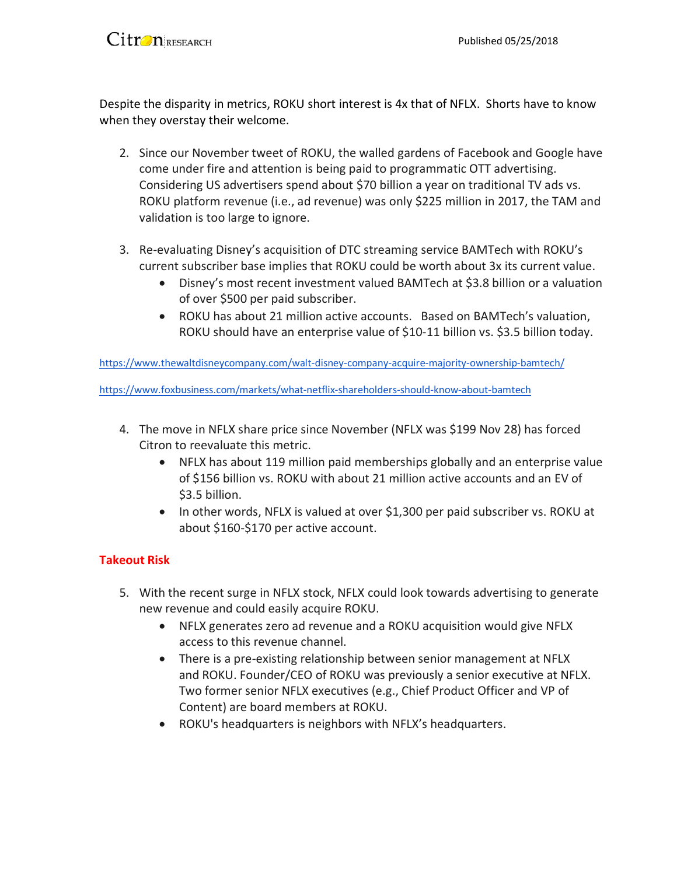

Despite the disparity in metrics, ROKU short interest is 4x that of NFLX. Shorts have to know when they overstay their welcome.

- 2. Since our November tweet of ROKU, the walled gardens of Facebook and Google have come under fire and attention is being paid to programmatic OTT advertising. Considering US advertisers spend about \$70 billion a year on traditional TV ads vs. ROKU platform revenue (i.e., ad revenue) was only \$225 million in 2017, the TAM and validation is too large to ignore.
- 3. Re-evaluating Disney's acquisition of DTC streaming service BAMTech with ROKU's current subscriber base implies that ROKU could be worth about 3x its current value.
	- Disney's most recent investment valued BAMTech at \$3.8 billion or a valuation of over \$500 per paid subscriber.
	- ROKU has about 21 million active accounts. Based on BAMTech's valuation, ROKU should have an enterprise value of \$10-11 billion vs. \$3.5 billion today.

<https://www.thewaltdisneycompany.com/walt-disney-company-acquire-majority-ownership-bamtech/>

<https://www.foxbusiness.com/markets/what-netflix-shareholders-should-know-about-bamtech>

- 4. The move in NFLX share price since November (NFLX was \$199 Nov 28) has forced Citron to reevaluate this metric.
	- NFLX has about 119 million paid memberships globally and an enterprise value of \$156 billion vs. ROKU with about 21 million active accounts and an EV of \$3.5 billion.
	- In other words, NFLX is valued at over \$1,300 per paid subscriber vs. ROKU at about \$160-\$170 per active account.

## **Takeout Risk**

- 5. With the recent surge in NFLX stock, NFLX could look towards advertising to generate new revenue and could easily acquire ROKU.
	- NFLX generates zero ad revenue and a ROKU acquisition would give NFLX access to this revenue channel.
	- There is a pre-existing relationship between senior management at NFLX and ROKU. Founder/CEO of ROKU was previously a senior executive at NFLX. Two former senior NFLX executives (e.g., Chief Product Officer and VP of Content) are board members at ROKU.
	- ROKU's headquarters is neighbors with NFLX's headquarters.